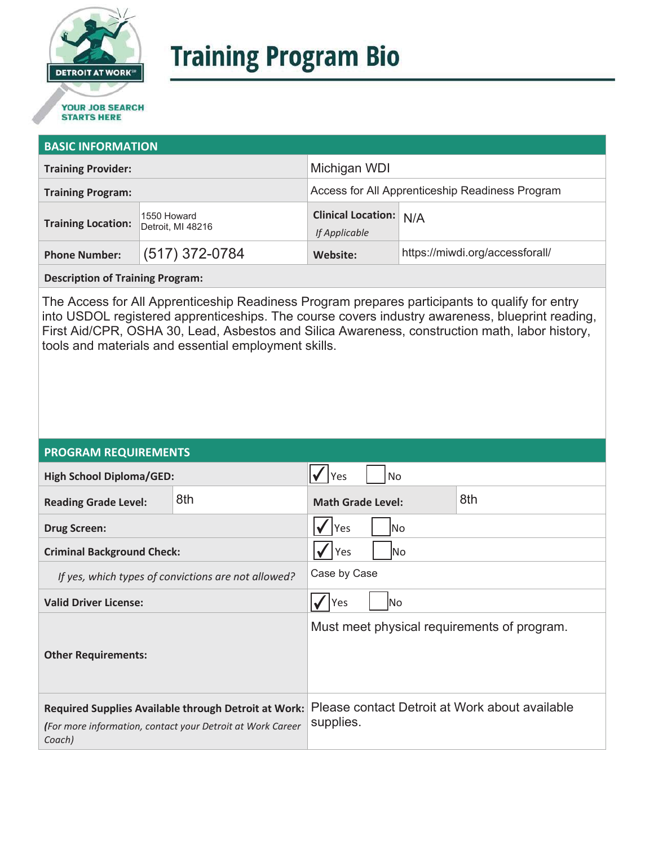

# **Training Program Bio**

## **STARTS HERE**

#### **BASIC INFORMATION**

| <b>Training Provider:</b> |                                  | Michigan WDI                                    |                                 |  |
|---------------------------|----------------------------------|-------------------------------------------------|---------------------------------|--|
| <b>Training Program:</b>  |                                  | Access for All Apprenticeship Readiness Program |                                 |  |
| <b>Training Location:</b> | 1550 Howard<br>Detroit, MI 48216 | Clinical Location: N/A<br>If Applicable         |                                 |  |
| <b>Phone Number:</b>      | $(517)$ 372-0784                 | Website:                                        | https://miwdi.org/accessforall/ |  |

**Description of Training Program:** 

The Access for All Apprenticeship Readiness Program prepares participants to qualify for entry into USDOL registered apprenticeships. The course covers industry awareness, blueprint reading, First Aid/CPR, OSHA 30, Lead, Asbestos and Silica Awareness, construction math, labor history, tools and materials and essential employment skills.

#### **PROGRAM REQUIREMENTS**

| <b>High School Diploma/GED:</b>                                                                                              |     | <b>No</b><br>Yes                                            |  |  |
|------------------------------------------------------------------------------------------------------------------------------|-----|-------------------------------------------------------------|--|--|
| <b>Reading Grade Level:</b>                                                                                                  | 8th | 8th<br><b>Math Grade Level:</b>                             |  |  |
| <b>Drug Screen:</b>                                                                                                          |     | Yes<br>lNo                                                  |  |  |
| <b>Criminal Background Check:</b>                                                                                            |     | Yes<br>lNo                                                  |  |  |
| If yes, which types of convictions are not allowed?                                                                          |     | Case by Case                                                |  |  |
| <b>Valid Driver License:</b>                                                                                                 |     | Yes<br>lNo                                                  |  |  |
| <b>Other Requirements:</b>                                                                                                   |     | Must meet physical requirements of program.                 |  |  |
| Required Supplies Available through Detroit at Work:<br>(For more information, contact your Detroit at Work Career<br>Coach) |     | Please contact Detroit at Work about available<br>supplies. |  |  |